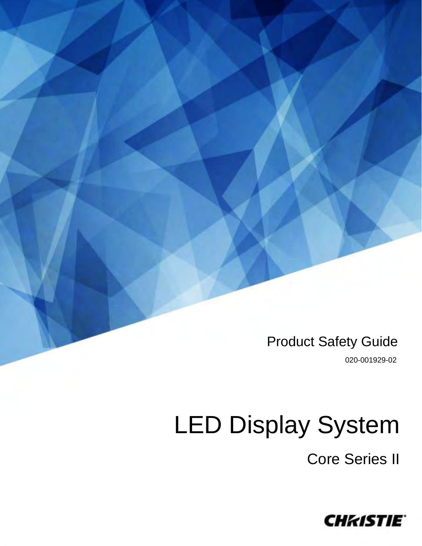Product Safety Guide

020-001929-02

# LED Display System

Core Series II

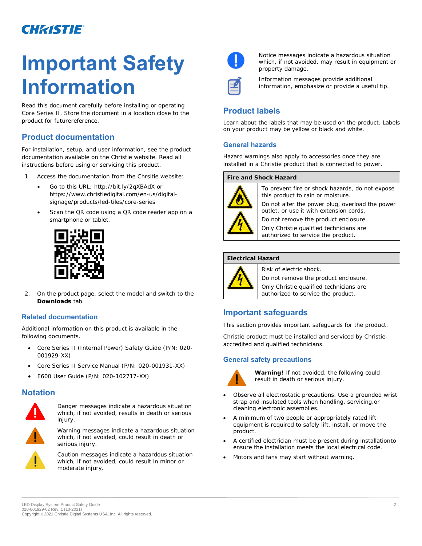# **Important Safety Information**

Read this document carefully before installing or operating Core Series II. Store the document in a location close to the product for futurereference.

# **Product documentation**

For installation, setup, and user information, see the product documentation available on the Christie website. Read all instructions before using or servicing this product.

- 1. Access the documentation from the Chrsitie website:
	- Go to this URL: *<http://bit.ly/2qXBAdX>* or *[https://www.christiedigital.com/en-us/digital](https://www.christiedigital.com/en-us/digital-signage/products/led-tiles/core-series)[signage/products/led-tiles/core-series](https://www.christiedigital.com/en-us/digital-signage/products/led-tiles/core-series)*
	- Scan the QR code using a QR code reader app on a smartphone or tablet.



2. On the product page, select the model and switch to the **Downloads** tab.

#### **Related documentation**

Additional information on this product is available in the following documents.

- Core Series II (Internal Power) Safety Guide (P/N: 020- 001929-XX)
- Core Series II Service Manual (P/N: 020-001931-XX)
- E600 User Guide (P/N: 020-102717-XX)

# **Notation**



Danger messages indicate a hazardous situation which, if not avoided, results in death or serious injury.



Warning messages indicate a hazardous situation which, if not avoided, could result in death or serious injury.



Caution messages indicate a hazardous situation which, if not avoided, could result in minor or moderate injury.



Notice messages indicate a hazardous situation which, if not avoided, may result in equipment or property damage.



Information messages provide additional information, emphasize or provide a useful tip.

# **Product labels**

Learn about the labels that may be used on the product. Labels on your product may be yellow or black and white.

#### **General hazards**

Hazard warnings also apply to accessories once they are installed in a Christie product that is connected to power.



To prevent fire or shock hazards, do not expose this product to rain or moisture.

Do not alter the power plug, overload the power outlet, or use it with extension cords.

Do not remove the product enclosure.

Only Christie qualified technicians are authorized to service the product.

#### **Electrical Hazard**



Risk of electric shock.

Do not remove the product enclosure.

Only Christie qualified technicians are authorized to service the product.

# **Important safeguards**

This section provides important safeguards for the product.

Christie product must be installed and serviced by Christieaccredited and qualified technicians.

#### **General safety precautions**



**Warning!** If not avoided, the following could result in death or serious injury.

- Observe all electrostatic precautions. Use a grounded wrist strap and insulated tools when handling, servicing,or cleaning electronic assemblies.
- A minimum of two people or appropriately rated lift equipment is required to safely lift, install, or move the product.
- A certified electrician must be present during installationto ensure the installation meets the local electrical code.
- Motors and fans may start without warning.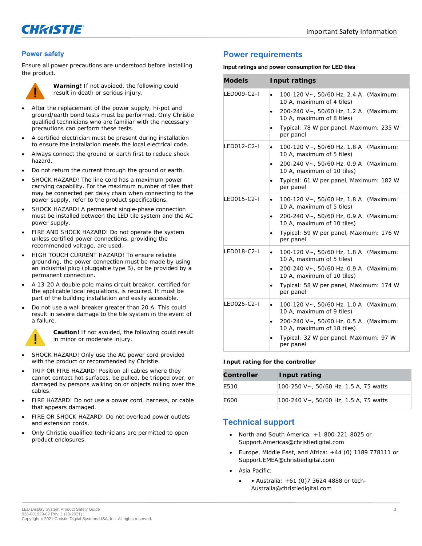

#### **Power safety**

Ensure all power precautions are understood before installing the product.



**Warning!** If not avoided, the following could result in death or serious injury.

- After the replacement of the power supply, hi-pot and ground/earth bond tests must be performed. Only Christie qualified technicians who are familiar with the necessary precautions can perform these tests.
- A certified electrician must be present during installation to ensure the installation meets the local electrical code.
- Always connect the ground or earth first to reduce shock hazard.
- Do not return the current through the ground or earth.
- SHOCK HAZARD! The line cord has a maximum power carrying capability. For the maximum number of tiles that may be connected per daisy chain when connecting to the power supply, refer to the product specifications.
- SHOCK HAZARD! A permanent single-phase connection must be installed between the LED tile system and the AC power supply.
- FIRE AND SHOCK HAZARD! Do not operate the system unless certified power connections, providing the recommended voltage, are used.
- HIGH TOUCH CURRENT HAZARD! To ensure reliable grounding, the power connection must be made by using an industrial plug (pluggable type B), or be provided by a permanent connection.
- A 13-20 A double pole mains circuit breaker, certified for the applicable local regulations, is required. It must be part of the building installation and easily accessible.
- Do not use a wall breaker greater than 20 A. This could result in severe damage to the tile system in the event of a failure.



**Caution!** If not avoided, the following could result in minor or moderate injury.

- SHOCK HAZARD! Only use the AC power cord provided with the product or recommended by Christie.
- TRIP OR FIRE HAZARD! Position all cables where they cannot contact hot surfaces, be pulled, be tripped over, or damaged by persons walking on or objects rolling over the cables.
- FIRE HAZARD! Do not use a power cord, harness, or cable that appears damaged.
- FIRE OR SHOCK HAZARD! Do not overload power outlets and extension cords.
- Only Christie qualified technicians are permitted to open product enclosures.

### **Power requirements**

#### **Input ratings and power consumption for LED tiles**

| Models      | Input ratings                                                                                                                                                                                                               |
|-------------|-----------------------------------------------------------------------------------------------------------------------------------------------------------------------------------------------------------------------------|
| LED009-C2-I | 100-120 V~, 50/60 Hz, 2.4 A (Maximum:<br>٠<br>10 A, maximum of 4 tiles)<br>200-240 V~, 50/60 Hz, 1.2 A (Maximum:<br>$\bullet$<br>10 A, maximum of 8 tiles)<br>Typical: 78 W per panel, Maximum: 235 W<br>per panel          |
| LED012-C2-I | 100-120 V~, 50/60 Hz, 1.8 A (Maximum:<br>$\bullet$<br>10 A, maximum of 5 tiles)<br>200-240 V~, 50/60 Hz, 0.9 A (Maximum:<br>$\bullet$<br>10 A, maximum of 10 tiles)<br>Typical: 61 W per panel, Maximum: 182 W<br>per panel |
| LED015-C2-I | 100-120 V~, 50/60 Hz, 1.8 A (Maximum:<br>$\bullet$<br>10 A, maximum of 5 tiles)<br>200-240 V~, 50/60 Hz, 0.9 A (Maximum:<br>$\bullet$<br>10 A, maximum of 10 tiles)<br>Typical: 59 W per panel, Maximum: 176 W<br>per panel |
| LED018-C2-I | 100-120 V~, 50/60 Hz, 1.8 A (Maximum:<br>٠<br>10 A, maximum of 5 tiles)<br>200-240 V~, 50/60 Hz, 0.9 A (Maximum:<br>10 A, maximum of 10 tiles)<br>Typical: 58 W per panel, Maximum: 174 W<br>per panel                      |
| LED025-C2-I | 100-120 V~, 50/60 Hz, 1.0 A (Maximum:<br>10 A, maximum of 9 tiles)<br>200-240 V~, 50/60 Hz, 0.5 A (Maximum:<br>10 A, maximum of 18 tiles)<br>Typical: 32 W per panel, Maximum: 97 W<br>per panel                            |

**Input rating for the controller**

| Controller | Input rating                          |
|------------|---------------------------------------|
| F510       | 100-250 V~, 50/60 Hz, 1.5 A, 75 watts |
| F600       | 100-240 V~, 50/60 Hz, 1.5 A, 75 watts |

# **Technical support**

- North and South America: +1-800-221-8025 or Support.Americas@christiedigital.com
- Europe, Middle East, and Africa:  $+44$  (0) 1189 778111 or Support.EMEA@christiedigital.com
- Asia Pacific:
	- Australia:  $+61$  (0)7 3624 4888 or tech-Australia@christiedigital.com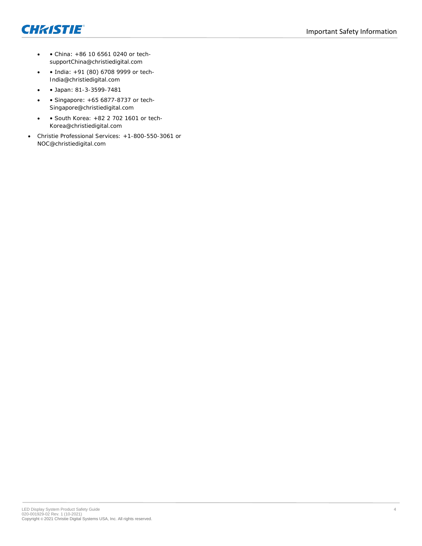



- • China: +86 10 6561 0240 or techsupportChina@christiedigital.com
- • India: +91 (80) 6708 9999 or tech-India@christiedigital.com
- • Japan: 81-3-3599-7481
- • Singapore: +65 6877-8737 or tech-Singapore@christiedigital.com
- • South Korea: +82 2 702 1601 or tech-Korea@christiedigital.com
- Christie Professional Services: +1-800-550-3061 or NOC@christiedigital.com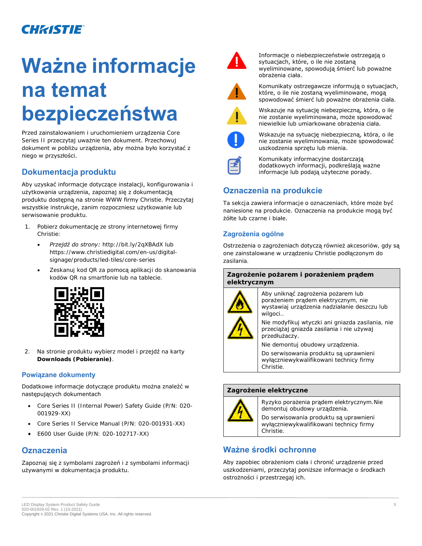# **Ważne informacje na temat bezpieczeństwa**

Przed zainstalowaniem i uruchomieniem urządzenia Core Series II przeczytaj uważnie ten dokument. Przechowuj dokument w pobliżu urządzenia, aby można było korzystać z niego w przyszłości.

# **Dokumentacja produktu**

Aby uzyskać informacje dotyczące instalacji, konfigurowania i użytkowania urządzenia, zapoznaj się z dokumentacją produktu dostępną na stronie WWW firmy Christie. Przeczytaj wszystkie instrukcje, zanim rozpoczniesz użytkowanie lub serwisowanie produktu.

- 1. Pobierz dokumentację ze strony internetowej firmy Christie:
	- *Przejdź do strony: <http://bit.ly/2qXBAdX>* lub *[https://www.christiedigital.com/en-us/digital](https://www.christiedigital.com/en-us/digital-signage/)[signage/](https://www.christiedigital.com/en-us/digital-signage/)[products/led-tiles/core-series](https://www.christiedigital.com/en-us/digital-signage/products/led-tiles/core-series)*
	- Zeskanuj kod QR za pomocą aplikacji do skanowania kodów QR na smartfonie lub na tablecie.



2. Na stronie produktu wybierz model i przejdź na karty **Downloads (Pobieranie)**.

#### **Powiązane dokumenty**

#### Dodatkowe informacje dotyczące produktu można znaleźć w następujących dokumentach

- Core Series II (Internal Power) Safety Guide (P/N: 020- 001929-XX)
- Core Series II Service Manual (P/N: 020-001931-XX)
- E600 User Guide (P/N: 020-102717-XX)

# **Oznaczenia**

Zapoznaj się z symbolami zagrożeń i z symbolami informacji używanymi w dokumentacja produktu.



Informacje o niebezpieczeństwie ostrzegają o sytuacjach, które, o ile nie zostaną wyeliminowane, spowodują śmierć lub poważne obrażenia ciała.



Komunikaty ostrzegawcze informują o sytuacjach, które, o ile nie zostaną wyeliminowane, mogą spowodować śmierć lub poważne obrażenia ciała.



Wskazuje na sytuację niebezpieczną, która, o ile nie zostanie wyeliminowana, może spowodować niewielkie lub umiarkowane obrażenia ciała.



Wskazuje na sytuację niebezpieczną, która, o ile nie zostanie wyeliminowania, może spowodować uszkodzenia sprzętu lub mienia.



Komunikaty informacyjne dostarczają dodatkowych informacji, podkreślają ważne informacje lub podają użyteczne porady.

# **Oznaczenia na produkcie**

Ta sekcja zawiera informacje o oznaczeniach, które może być naniesione na produkcie. Oznaczenia na produkcie mogą być żółte lub czarne i białe.

### **Zagrożenia ogólne**

Ostrzeżenia o zagrożeniach dotyczą również akcesoriów, gdy są one zainstalowane w urządzeniu Christie podłączonym do zasilania.

#### **Zagrożenie pożarem i porażeniem prądem elektrycznym**



Aby uniknąć zagrożenia pożarem lub porażeniem prądem elektrycznym, nie wystawiaj urządzenia nadziałanie deszczu lub wilgoci..

Nie modyfikuj wtyczki ani gniazda zasilania, nie przeciążaj gniazda zasilania i nie używaj przedłużaczy.

Nie demontuj obudowy urządzenia.

Do serwisowania produktu sa uprawnieni wyłączniewykwalifikowani technicy firmy Christie.

#### **Zagrożenie elektryczne**



Ryzyko porażenia prądem elektrycznym. Nie demontuj obudowy urządzenia.

Do serwisowania produktu są uprawnieni wyłączniewykwalifikowani technicy firmy Christie.

# **Ważne środki ochronne**

Aby zapobiec obrażeniom ciała i chronić urządzenie przed uszkodzeniami, przeczytaj poniższe informacje o środkach ostrożności i przestrzegaj ich.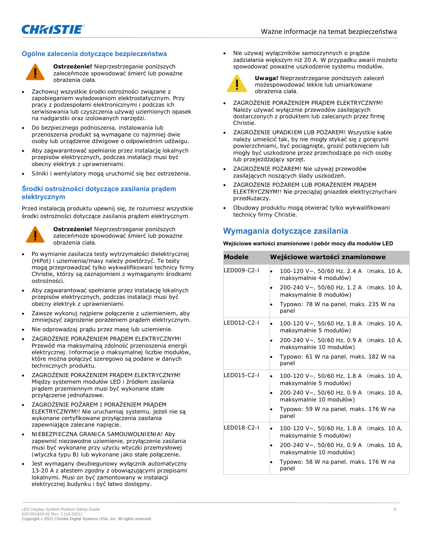#### **Ogólne zalecenia dotyczące bezpieczeństwa**



**Ostrzeżenie!** Nieprzestrzeganie poniższych zaleceńmoże spowodować śmierć lub poważne obrażenia ciała.

- Zachowuj wszystkie środki ostrożności związane z zapobieganiem wyładowaniom elektrostatycznym. Przy pracy z podzespołami elektronicznymi i podczas ich serwisowania lub czyszczenia używaj uziemionych opasek na nadgarstki oraz izolowanych narzędzi.
- Do bezpiecznego podnoszenia, instalowania lub przenoszenia produkt są wymagane co najmniej dwie osoby lub urządzenie dźwigowe o odpowiednim udźwigu.
- Aby zagwarantować spełnianie przez instalację lokalnych przepisów elektrycznych, podczas instalacji musi być obecny elektryk z uprawnieniami.
- Silniki i wentylatory mogą uruchomić się bez ostrzeżenia.

#### **Środki ostrożności dotyczące zasilania prądem elektrycznym**

Przed instalacją produktu upewnij się, że rozumiesz wszystkie środki ostrożności dotyczące zasilania prądem elektrycznym.



**Ostrzeżenie!** Nieprzestrzeganie poniższych zaleceńmoże spowodować śmierć lub poważne obrażenia ciała.

- Po wymianie zasilacza testy wytrzymałości dielektrycznej (HiPot) i uziemienia/masy należy powtórzyć. Te testy mogą przeprowadzać tylko wykwalifikowani technicy firmy Christie, którzy są zaznajomieni z wymaganymi środkami ostrożności.
- Aby zagwarantować spełnianie przez instalację lokalnych przepisów elektrycznych, podczas instalacji musi być obecny elektryk z uprawnieniami.
- Zawsze wykonuj najpierw połączenie z uziemieniem, aby zmniejszyć zagrożenie porażeniem prądem elektrycznym.
- Nie odprowadzaj prądu przez masę lub uziemienie.
- ZAGROŻENIE PORAŻENIEM PRADEM ELEKTRYCZNYM! Przewód ma maksymalną zdolność przenoszenia energii elektrycznej. Informacje o maksymalnej liczbie modułów, które można połączyć szeregowo są podane w danych technicznych produktu.
- ZAGROŻENIE PORAŻENIEM PRĄDEM ELEKTRYCZNYM! Między systemem modułów LED i źródłem zasilania prądem przemiennym musi być wykonane stałe przyłączenie jednofazowe.
- ZAGROŻENIE POŻAREM I PORAŻENIEM PRĄDEM ELEKTRYCZNYM!! Nie uruchamiaj systemu, jeżeli nie są wykonane certyfikowane przyłączenia zasilania zapewniające zalecane napięcie.
- NIEBEZPIECZNA GRANICA SAMOUWOLNIENIA! Aby zapewnić niezawodne uziemienie, przyłączenie zasilania musi być wykonane przy użyciu wtyczki przemysłowej (wtyczka typu B) lub wykonane jako stałe połączenie.
- Jest wymagany dwubiegunowy wyłącznik automatyczny 13-20 A z atestem zgodny z obowiązującymi przepisami lokalnymi. Musi on być zamontowany w instalacji elektrycznej budynku i być łatwo dostępny.

• Nie używaj wyłączników samoczynnych o prądzie zadziałania większym niż 20 A. W przypadku awarii możeto spowodować poważne uszkodzenie systemu modułów.



**Uwaga!** Nieprzestrzeganie poniższych zaleceń możespowodować lekkie lub umiarkowane obrażenia ciała.

- ZAGROŻENIE PORAŻENIEM PRĄDEM ELEKTRYCZNYM! Należy używać wyłącznie przewodów zasilających dostarczonych z produktem lub zalecanych przez firmę Christie.
- ZAGROŻENIE UPADKIEM LUB POŻAREM! Wszystkie kable należy umieścić tak, by nie mogły stykać się z gorącymi powierzchniami, być pociągnięte, grozić potknięciem lub mogły być uszkodzone przez przechodzące po nich osoby lub przejeżdżający sprzęt.
- ZAGROŻENIE POŻAREM! Nie używaj przewodów zasilających noszących ślady uszkodzeń.
- ZAGROŻENIE POŻAREM LUB PORAŻENIEM PRĄDEM ELEKTRYCZNYM!! Nie przeciążaj gniazdek elektrycznychani przedłużaczy.
- Obudowy produktu mogą otwierać tylko wykwalifikowani technicy firmy Christie.

# **Wymagania dotyczące zasilania**

#### **Wejściowe wartości znamionowe i pobór mocy dla modułów LED**

| Modele             | Wejściowe wartości znamionowe                                       |
|--------------------|---------------------------------------------------------------------|
| LED009-C2-I        | 100-120 V~, 50/60 Hz, 2.4 A (maks. 10 A,<br>maksymalnie 4 modułów)  |
|                    | 200-240 V~, 50/60 Hz, 1.2 A (maks. 10 A,<br>maksymalnie 8 modułów)  |
|                    | Typowo: 78 W na panel, maks. 235 W na<br>panel                      |
| <b>IFD012-C2-L</b> | 100-120 V~, 50/60 Hz, 1.8 A (maks. 10 A,<br>maksymalnie 5 modułów)  |
|                    | 200-240 V~, 50/60 Hz, 0.9 A (maks. 10 A,<br>maksymalnie 10 modułów) |
|                    | Typowo: 61 W na panel, maks. 182 W na<br>panel                      |
| LED015-C2-I        | 100-120 V~, 50/60 Hz, 1.8 A (maks. 10 A,<br>maksymalnie 5 modułów)  |
|                    | 200-240 V~, 50/60 Hz, 0.9 A (maks. 10 A,<br>maksymalnie 10 modułów) |
|                    | Typowo: 59 W na panel, maks. 176 W na<br>panel                      |
| LED018-C2-I        | 100-120 V~, 50/60 Hz, 1.8 A (maks. 10 A,<br>maksymalnie 5 modułów)  |
|                    | 200-240 V~, 50/60 Hz, 0.9 A (maks. 10 A,<br>maksymalnie 10 modułów) |
|                    | Typowo: 58 W na panel, maks. 176 W na<br>panel                      |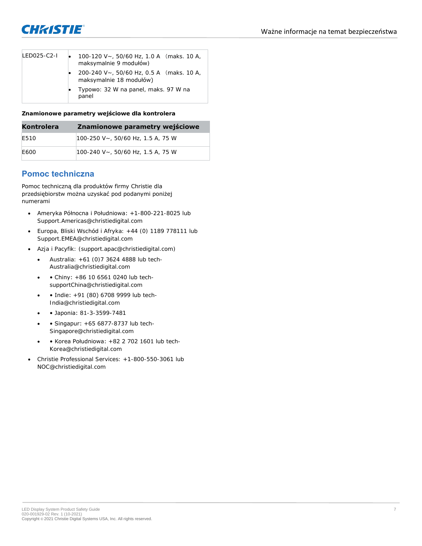

| I FD025-C2-L | 100-120 V $\sim$ , 50/60 Hz, 1.0 A (maks. 10 A,<br>maksymalnie 9 modułów) |  |
|--------------|---------------------------------------------------------------------------|--|
|              | 200-240 V~, 50/60 Hz, 0.5 A (maks. 10 A,<br>maksymalnie 18 modułów)       |  |
|              | • Typowo: 32 W na panel, maks. 97 W na<br>panel                           |  |

**Znamionowe parametry wejściowe dla kontrolera**

| Kontrolera | Znamionowe parametry wejściowe       |
|------------|--------------------------------------|
| F510       | $100-250$ V ~, 50/60 Hz, 1.5 A, 75 W |
| F600       | 100-240 V~, 50/60 Hz, 1.5 A, 75 W    |

## **Pomoc techniczna**

Pomoc techniczną dla produktów firmy Christie dla przedsiębiorstw można uzyskać pod podanymi poniżej numerami

- Ameryka Północna i Południowa: +1-800-221-8025 lub Support.Americas@christiedigital.com
- Europa, Bliski Wschód i Afryka: +44 (0) 1189 778111 lub Support.EMEA@christiedigital.com
- Azja i Pacyfik: (*support.apac@christiedigital.com*)
	- $\bullet$  Australia:  $+61$  (0)7 3624 4888 lub tech-Australia@christiedigital.com
	- • Chiny: +86 10 6561 0240 lub techsupportChina@christiedigital.com
	- • Indie: +91 (80) 6708 9999 lub tech-India@christiedigital.com
	- • Japonia: 81-3-3599-7481
	- Singapur: +65 6877-8737 lub tech-Singapore@christiedigital.com
	- • Korea Południowa: +82 2 702 1601 lub tech-Korea@christiedigital.com
- Christie Professional Services: +1-800-550-3061 lub NOC@christiedigital.com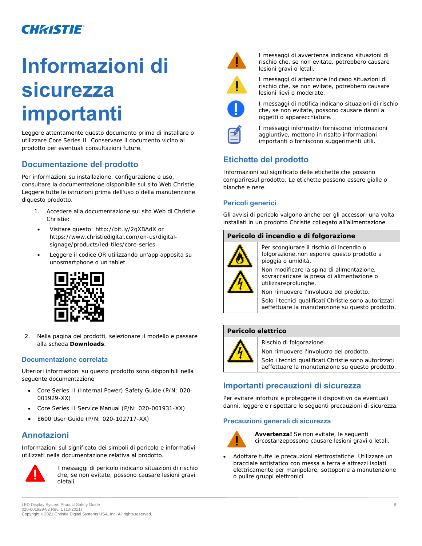# **Informazioni di sicurezza importanti**

Leggere attentamente questo documento prima di installare o utilizzare Core Series II. Conservare il documento vicino al prodotto per eventuali consultazioni future.

# **Documentazione del prodotto**

Per informazioni su installazione, configurazione e uso, consultare la documentazione disponibile sul sito Web Christie. Leggere tutte le istruzioni prima dell'uso o della manutenzione diquesto prodotto.

- 1. Accedere alla documentazione sul sito Web di Christie Christie:
- *Visitare questo*: *<http://bit.ly/2qXBAdX>* or *[https://www.christiedigital.com/en-us/digital](https://www.christiedigital.com/en-us/digital-signage/products/led-tiles/core-series)[signage/products/led-tiles/core-series](https://www.christiedigital.com/en-us/digital-signage/products/led-tiles/core-series)*
- Leggere il codice QR utilizzando un'app apposita su unosmartphone o un tablet.



2. Nella pagina dei prodotti, selezionare il modello e passare alla scheda **Downloads**.

#### **Documentazione correlata**

Ulteriori informazioni su questo prodotto sono disponibili nella seguente documentazione

- Core Series II (Internal Power) Safety Guide (P/N: 020- 001929-XX)
- Core Series II Service Manual (P/N: 020-001931-XX)
- E600 User Guide (P/N: 020-102717-XX)

# **Annotazioni**

Informazioni sul significato dei simboli di pericolo e informativi utilizzati nella documentazione relativa al prodotto.



I messaggi di pericolo indicano situazioni di rischio che, se non evitate, possono causare lesioni gravi oletali.



I messaggi di avvertenza indicano situazioni di rischio che, se non evitate, potrebbero causare lesioni gravi o letali.



I messaggi di attenzione indicano situazioni di rischio che, se non evitate, potrebbero causare lesioni lievi o moderate.



I messaggi di notifica indicano situazioni di rischio che, se non evitate, possono causare danni a oggetti o apparecchiature.



I messaggi informativi forniscono informazioni aggiuntive, mettono in risalto informazioni importanti o forniscono suggerimenti utili.

# **Etichette del prodotto**

Informazioni sul significato delle etichette che possono compariresul prodotto. Le etichette possono essere gialle o bianche e nere.

### **Pericoli generici**

Gli avvisi di pericolo valgono anche per gli accessori una volta installati in un prodotto Christie collegato all'alimentazione

#### **Pericolo di incendio e di folgorazione**



Per scongiurare il rischio di incendio o folgorazione, non esporre questo prodotto a pioggia o umidità.

Non modificare la spina di alimentazione, sovraccaricare la presa di alimentazione o utilizzareprolunghe.

Non rimuovere l'involucro del prodotto.

Solo i tecnici qualificati Christie sono autorizzati aeffettuare la manutenzione su questo prodotto.

#### **Pericolo elettrico**



Rischio di folgorazione.

Non rimuovere l'involucro del prodotto.

Solo i tecnici qualificati Christie sono autorizzati aeffettuare la manutenzione su questo prodotto.

# **Importanti precauzioni di sicurezza**

Per evitare infortuni e proteggere il dispositivo da eventuali danni, leggere e rispettare le seguenti precauzioni di sicurezza.

#### **Precauzioni generali di sicurezza**



**Avvertenza!** Se non evitate, le seguenti circostanzepossono causare lesioni gravi o letali.

• Adottare tutte le precauzioni elettrostatiche. Utilizzare un bracciale antistatico con messa a terra e attrezzi isolati elettricamente per manipolare, sottoporre a manutenzione o pulire gruppi elettronici.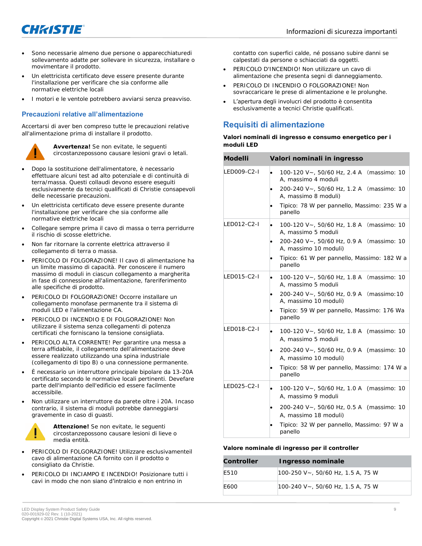

- Sono necessarie almeno due persone o apparecchiaturedi sollevamento adatte per sollevare in sicurezza, installare o movimentare il prodotto.
- Un elettricista certificato deve essere presente durante l'installazione per verificare che sia conforme alle normative elettriche locali
- I motori e le ventole potrebbero avviarsi senza preavviso.

#### **Precauzioni relative all'alimentazione**

Accertarsi di aver ben compreso tutte le precauzioni relative all'alimentazione prima di installare il prodotto.



**Avvertenza!** Se non evitate, le seguenti circostanzepossono causare lesioni gravi o letali.

- Dopo la sostituzione dell'alimentatore, è necessario effettuare alcuni test ad alto potenziale e di continuità di terra/massa. Questi collaudi devono essere eseguiti esclusivamente da tecnici qualificati di Christie consapevoli delle necessarie precauzioni.
- Un elettricista certificato deve essere presente durante l'installazione per verificare che sia conforme alle normative elettriche locali
- Collegare sempre prima il cavo di massa o terra perridurre il rischio di scosse elettriche.
- Non far ritornare la corrente elettrica attraverso il collegamento di terra o massa.
- PERICOLO DI FOLGORAZIONE! Il cavo di alimentazione ha un limite massimo di capacità. Per conoscere il numero massimo di moduli in ciascun collegamento a margherita in fase di connessione all'alimentazione, fareriferimento alle specifiche di prodotto.
- PERICOLO DI FOLGORAZIONE! Occorre installare un collegamento monofase permanente tra il sistema di moduli LED e l'alimentazione CA.
- PERICOLO DI INCENDIO E DI FOLGORAZIONE! Non utilizzare il sistema senza collegamenti di potenza certificati che forniscano la tensione consigliata.
- PERICOLO ALTA CORRENTE! Per garantire una messa a terra affidabile, il collegamento dell'alimentazione deve essere realizzato utilizzando una spina industriale (collegamento di tipo B) o una connessione permanente.
- È necessario un interruttore principale bipolare da 13-20A certificato secondo le normative locali pertinenti. Devefare parte dell'impianto dell'edificio ed essere facilmente accessibile.
- Non utilizzare un interruttore da parete oltre i 20A. Incaso contrario, il sistema di moduli potrebbe danneggiarsi gravemente in caso di guasti.



**Attenzione!** Se non evitate, le seguenti circostanzepossono causare lesioni di lieve o media entità.

- PERICOLO DI FOLGORAZIONE! Utilizzare esclusivamenteil cavo di alimentazione CA fornito con il prodotto o consigliato da Christie.
- PERICOLO DI INCIAMPO E INCENDIO! Posizionare tutti i cavi in modo che non siano d'intralcio e non entrino in

contatto con superfici calde, né possano subire danni se calpestati da persone o schiacciati da oggetti.

- PERICOLO D'INCENDIO! Non utilizzare un cavo di alimentazione che presenta segni di danneggiamento.
- PERICOLO DI INCENDIO O FOLGORAZIONE! Non sovraccaricare le prese di alimentazione e le prolunghe.
- L'apertura degli involucri del prodotto è consentita esclusivamente a tecnici Christie qualificati.

# **Requisiti di alimentazione**

**Valori nominali di ingresso e consumo energetico per i moduli LED**

| Modelli     | Valori nominali in ingresso                                                                                                                                                                                     |
|-------------|-----------------------------------------------------------------------------------------------------------------------------------------------------------------------------------------------------------------|
| LED009-C2-I | 100-120 V~, 50/60 Hz, 2.4 A (massimo: 10<br>٠<br>A, massimo 4 moduli<br>200-240 V~, 50/60 Hz, 1.2 A (massimo: 10<br>$\bullet$<br>A, massimo 8 moduli)<br>Tipico: 78 W per pannello, Massimo: 235 W a<br>panello |
| LED012-C2-I | 100-120 V~, 50/60 Hz, 1.8 A (massimo: 10<br>٠<br>A, massimo 5 moduli                                                                                                                                            |
|             | 200-240 V~, 50/60 Hz, 0.9 A (massimo: 10<br>$\bullet$<br>A, massimo 10 moduli)                                                                                                                                  |
|             | Tipico: 61 W per pannello, Massimo: 182 W a<br>$\bullet$<br>panello                                                                                                                                             |
| LED015-C2-I | 100-120 V~, 50/60 Hz, 1.8 A (massimo: 10<br>٠<br>A, massimo 5 moduli                                                                                                                                            |
|             | 200-240 V~, 50/60 Hz, 0.9 A (massimo: 10<br>$\bullet$<br>A, massimo 10 moduli)                                                                                                                                  |
|             | Tipico: 59 W per pannello, Massimo: 176 Wa<br>panello                                                                                                                                                           |
| LED018-C2-I | 100-120 V~, 50/60 Hz, 1.8 A (massimo: 10<br>$\bullet$<br>A. massimo 5 moduli                                                                                                                                    |
|             | 200-240 V~, 50/60 Hz, 0.9 A (massimo: 10<br>٠<br>A, massimo 10 moduli)                                                                                                                                          |
|             | Tipico: 58 W per pannello, Massimo: 174 W a<br>panello                                                                                                                                                          |
| LED025-C2-I | 100-120 V~, 50/60 Hz, 1.0 A (massimo: 10<br>$\bullet$<br>A, massimo 9 moduli                                                                                                                                    |
|             | 200-240 V~, 50/60 Hz, 0.5 A (massimo: 10<br>A, massimo 18 moduli)                                                                                                                                               |
|             | Tipico: 32 W per pannello, Massimo: 97 W a<br>panello                                                                                                                                                           |

**Valore nominale di ingresso per il controller**

| Controller | Ingresso nominale                 |
|------------|-----------------------------------|
| F510       | 100-250 V~, 50/60 Hz, 1.5 A, 75 W |
| F600       | 100-240 V~, 50/60 Hz, 1.5 A, 75 W |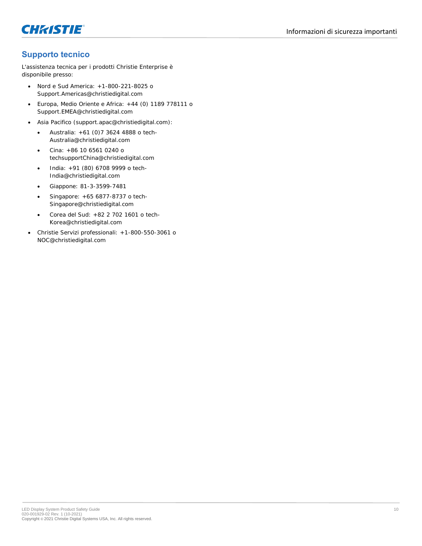



# **Supporto tecnico**

L'assistenza tecnica per i prodotti Christie Enterprise è disponibile presso:

- Nord e Sud America: +1-800-221-8025 o *Support.Americas@christiedigital.com*
- Europa, Medio Oriente e Africa: +44 (0) 1189 778111 o *Support.EMEA@christiedigital.com*
- Asia Pacifico (*support.apac@christiedigital.com*):
	- Australia: +61 (0)7 3624 4888 o *tech-Australia@christiedigital.com*
	- Cina: +86 10 6561 0240 o *techsupportChina@christiedigital.com*
	- India: +91 (80) 6708 9999 o *tech-India@christiedigital.com*
	- Giappone: 81-3-3599-7481
	- Singapore: +65 6877-8737 o *tech-Singapore@christiedigital.com*
	- Corea del Sud: +82 2 702 1601 o *tech-Korea@christiedigital.com*
- Christie Servizi professionali: +1-800-550-3061 o *NOC@christiedigital.com*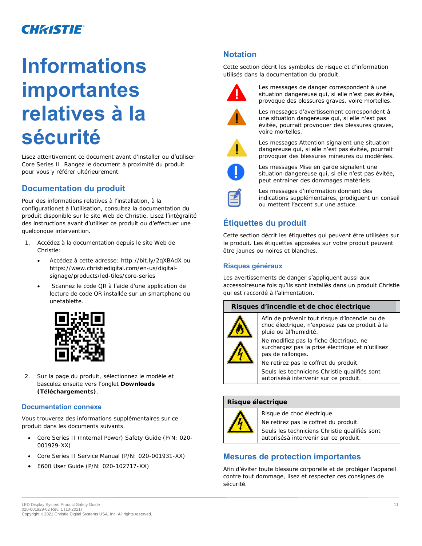# **Informations importantes relatives à la sécurité**

Lisez attentivement ce document avant d'installer ou d'utiliser Core Series II. Rangez le document à proximité du produit pour vous y référer ultérieurement.

# **Documentation du produit**

Pour des informations relatives à l'installation, à la configurationet à l'utilisation, consultez la documentation du produit disponible sur le site Web de Christie. Lisez l'intégralité des instructions avant d'utiliser ce produit ou d'effectuer une quelconque intervention.

- 1. Accédez à la documentation depuis le site Web de Christie:
	- *Accédez à cette adresse*: *<http://bit.ly/2qXBAdX>* ou *[https://www.christiedigital.com/en-us/digital](https://www.christiedigital.com/en-us/digital-signage/products/led-tiles/core-series)[signage/products/led-tiles/core-series](https://www.christiedigital.com/en-us/digital-signage/products/led-tiles/core-series)*
	- Scannez le code QR à l'aide d'une application de lecture de code QR installée sur un smartphone ou unetablette.



2. Sur la page du produit, sélectionnez le modèle et basculez ensuite vers l'onglet **Downloads (Téléchargements)**.

#### **Documentation connexe**

Vous trouverez des informations supplémentaires sur ce produit dans les documents suivants.

- Core Series II (Internal Power) Safety Guide (P/N: 020- 001929-XX)
- Core Series II Service Manual (P/N: 020-001931-XX)
- E600 User Guide (P/N: 020-102717-XX)

# **Notation**

Cette section décrit les symboles de risque et d'information utilisés dans la documentation du produit.



Les messages de danger correspondent à une situation dangereuse qui, si elle n'est pas évitée, provoque des blessures graves, voire mortelles.



Les messages d'avertissement correspondent à une situation dangereuse qui, si elle n'est pas évitée, pourrait provoquer des blessures graves, voire mortelles.



Les messages Attention signalent une situation dangereuse qui, si elle n'est pas évitée, pourrait provoquer des blessures mineures ou modérées.



Les messages Mise en garde signalent une situation dangereuse qui, si elle n'est pas évitée, peut entraîner des dommages matériels.



Les messages d'information donnent des indications supplémentaires, prodiguent un conseil ou mettent l'accent sur une astuce.

# **Étiquettes du produit**

Cette section décrit les étiquettes qui peuvent être utilisées sur le produit. Les étiquettes apposées sur votre produit peuvent être jaunes ou noires et blanches.

### **Risques généraux**

Les avertissements de danger s'appliquent aussi aux accessoiresune fois qu'ils sont installés dans un produit Christie qui est raccordé à l'alimentation.

#### **Risques d'incendie et de choc électrique**



Afin de prévenir tout risque d'incendie ou de choc électrique, n'exposez pas ce produit à la pluie ou àl'humidité.

Ne modifiez pas la fiche électrique, ne surchargez pas la prise électrique et n'utilisez pas de rallonges.

Ne retirez pas le coffret du produit. Seuls les techniciens Christie qualifiés sont autorisésà intervenir sur ce produit.

#### **Risque électrique**



Risque de choc électrique.

Ne retirez pas le coffret du produit.

Seuls les techniciens Christie qualifiés sont autorisésà intervenir sur ce produit.

### **Mesures de protection importantes**

Afin d'éviter toute blessure corporelle et de protéger l'appareil contre tout dommage, lisez et respectez ces consignes de sécurité.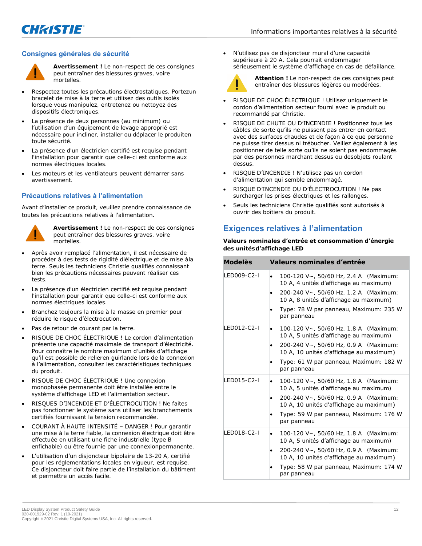

#### **Consignes générales de sécurité**



**Avertissement !** Le non-respect de ces consignes peut entraîner des blessures graves, voire mortelles.

- Respectez toutes les précautions électrostatiques. Portezun bracelet de mise à la terre et utilisez des outils isolés lorsque vous manipulez, entretenez ou nettoyez des dispositifs électroniques.
- La présence de deux personnes (au minimum) ou l'utilisation d'un équipement de levage approprié est nécessaire pour incliner, installer ou déplacer le produiten toute sécurité.
- La présence d'un électricien certifié est requise pendant l'installation pour garantir que celle-ci est conforme aux normes électriques locales.
- Les moteurs et les ventilateurs peuvent démarrer sans avertissement.

#### **Précautions relatives à l'alimentation**

Avant d'installer ce produit, veuillez prendre connaissance de toutes les précautions relatives à l'alimentation.



**Avertissement !** Le non-respect de ces consignes peut entraîner des blessures graves, voire mortelles.

- Après avoir remplacé l'alimentation, il est nécessaire de procéder à des tests de rigidité diélectrique et de mise àla terre. Seuls les techniciens Christie qualifiés connaissant bien les précautions nécessaires peuvent réaliser ces tests.
- La présence d'un électricien certifié est requise pendant l'installation pour garantir que celle-ci est conforme aux normes électriques locales.
- Branchez toujours la mise à la masse en premier pour réduire le risque d'électrocution.
- Pas de retour de courant par la terre.
- RISQUE DE CHOC ÉLECTRIQUE ! Le cordon d'alimentation présente une capacité maximale de transport d'électricité. Pour connaître le nombre maximum d'unités d'affichage qu'il est possible de relieren guirlande lors de la connexion à l'alimentation, consultez les caractéristiques techniques du produit.
- RISQUE DE CHOC ÉLECTRIQUE ! Une connexion monophasée permanente doit être installée entre le système d'affichage LED et l'alimentation secteur.
- RISQUES D'INCENDIE ET D'ÉLECTROCUTION ! Ne faites pas fonctionner le système sans utiliser les branchements certifiés fournissant la tension recommandée.
- COURANT À HAUTE INTENSITÉ DANGER ! Pour garantir une mise à la terre fiable, la connexion électrique doit être effectuée en utilisant une fiche industrielle (type B enfichable) ou être fournie par une connexionpermanente.
- L'utilisation d'un disjoncteur bipolaire de 13-20 A, certifié pour les réglementations locales en vigueur, est requise. Ce disjoncteur doit faire partie de l'installation du bâtiment et permettre un accès facile.

• N'utilisez pas de disjoncteur mural d'une capacité supérieure à 20 A. Cela pourrait endommager sérieusement le système d'affichage en cas de défaillance.



**Attention !** Le non-respect de ces consignes peut entraîner des blessures légères ou modérées.

- RISQUE DE CHOC ÉLECTRIQUE ! Utilisez uniquement le cordon d'alimentation secteur fourni avec le produit ou recommandé par Christie.
- RISQUE DE CHUTE OU D'INCENDIE ! Positionnez tous les câbles de sorte qu'ils ne puissent pas entrer en contact avec des surfaces chaudes et de façon à ce que personne ne puisse tirer dessus ni trébucher. Veillez également à les positionner de telle sorte qu'ils ne soient pas endommagés par des personnes marchant dessus ou desobjets roulant dessus.
- RISQUE D'INCENDIE ! N'utilisez pas un cordon d'alimentation qui semble endommagé.
- RISQUE D'INCENDIE OU D'ÉLECTROCUTION ! Ne pas surcharger les prises électriques et les rallonges.
- Seuls les techniciens Christie qualifiés sont autorisés à ouvrir des boîtiers du produit.

### **Exigences relatives à l'alimentation**

**Valeurs nominales d'entrée et consommation d'énergie des unitésd'affichage LED**

| <b>Modelès</b>    | Valeurs nominales d'entrée                                                                                                                                                                                                                |
|-------------------|-------------------------------------------------------------------------------------------------------------------------------------------------------------------------------------------------------------------------------------------|
| <b>FD009-C2-L</b> | 100-120 V~, 50/60 Hz, 2.4 A (Maximum:<br>$\bullet$<br>10 A, 4 unités d'affichage au maximum)<br>200-240 V~, 50/60 Hz, 1.2 A (Maximum:<br>10 A, 8 unités d'affichage au maximum)<br>Type: 78 W par panneau, Maximum: 235 W<br>par panneau  |
| I FD012-C2-I      | 100-120 V~, 50/60 Hz, 1.8 A (Maximum:<br>$\bullet$<br>10 A, 5 unités d'affichage au maximum)<br>200-240 V~, 50/60 Hz, 0.9 A (Maximum:<br>10 A, 10 unités d'affichage au maximum)<br>Type: 61 W par panneau, Maximum: 182 W<br>par panneau |
| <b>ED015-C2-L</b> | 100-120 V~, 50/60 Hz, 1.8 A (Maximum:<br>10 A, 5 unités d'affichage au maximum)<br>200-240 V~, 50/60 Hz, 0.9 A (Maximum:<br>10 A, 10 unités d'affichage au maximum)<br>Type: 59 W par panneau, Maximum: 176 W<br>par panneau              |
| LED018-C2-I       | 100-120 V~, 50/60 Hz, 1.8 A (Maximum:<br>٠<br>10 A, 5 unités d'affichage au maximum)<br>200-240 V~, 50/60 Hz, 0.9 A (Maximum:<br>10 A, 10 unités d'affichage au maximum)<br>Type: 58 W par panneau, Maximum: 174 W<br>par panneau         |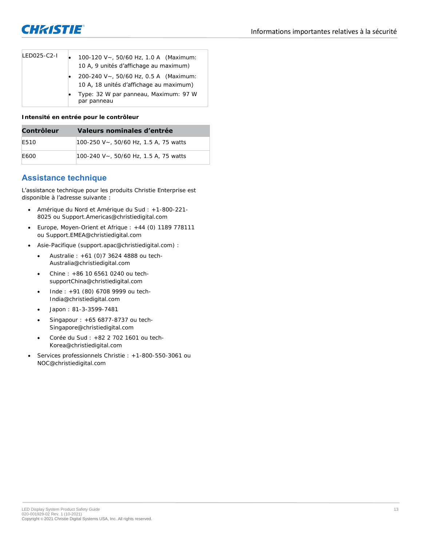

| IFD025-C2-L | 100-120 V~, 50/60 Hz, 1.0 A (Maximum:<br>10 A, 9 unités d'affichage au maximum)  |
|-------------|----------------------------------------------------------------------------------|
|             | 200-240 V~, 50/60 Hz, 0.5 A (Maximum:<br>10 A, 18 unités d'affichage au maximum) |
|             | Type: 32 W par panneau, Maximum: 97 W<br>par panneau                             |

**Intensité en entrée pour le contrôleur**

| Contrôleur | Valeurs nominales d'entrée            |
|------------|---------------------------------------|
| F510       | 100-250 V~, 50/60 Hz, 1.5 A, 75 watts |
| F600       | 100-240 V~, 50/60 Hz, 1.5 A, 75 watts |

# **Assistance technique**

L'assistance technique pour les produits Christie Enterprise est disponible à l'adresse suivante :

- Amérique du Nord et Amérique du Sud : +1-800-221- 8025 ou *Support.Americas@christiedigital.com*
- Europe, Moyen-Orient et Afrique : +44 (0) 1189 778111 ou *Support.EMEA@christiedigital.com*
- Asie-Pacifique (*support.apac@christiedigital.com*) :
	- Australie : +61 (0)7 3624 4888 ou *tech-Australia@christiedigital.com*
	- Chine : +86 10 6561 0240 ou *techsupportChina@christiedigital.com*
	- Inde : +91 (80) 6708 9999 ou *tech-India@christiedigital.com*
	- Japon : 81-3-3599-7481
	- Singapour : +65 6877-8737 ou *tech-Singapore@christiedigital.com*
	- Corée du Sud : +82 2 702 1601 ou *tech-Korea@christiedigital.com*
- Services professionnels Christie : +1-800-550-3061 ou *NOC@christiedigital.com*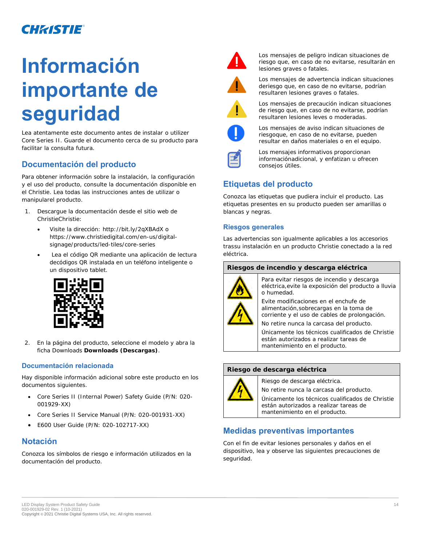# **Información importante de seguridad**

Lea atentamente este documento antes de instalar o utilizer Core Series II. Guarde el documento cerca de su producto para facilitar la consulta futura.

# **Documentación del producto**

Para obtener información sobre la instalación, la configuración y el uso del producto, consulte la documentación disponible en el Christie. Lea todas las instrucciones antes de utilizar o manipularel producto.

- 1. Descargue la documentación desde el sitio web de ChristieChristie:
	- *Visite la dirección*: *<http://bit.ly/2qXBAdX>* o *[https://www.christiedigital.com/en-us/digital](https://www.christiedigital.com/en-us/digital-signage/)[signage/](https://www.christiedigital.com/en-us/digital-signage/)[products/led-tiles/core-series](https://www.christiedigital.com/en-us/digital-signage/products/led-tiles/core-series)*
	- Lea el código QR mediante una aplicación de lectura decódigos QR instalada en un teléfono inteligente o un dispositivo tablet.



2. En la página del producto, seleccione el modelo y abra la ficha Downloads **Downloads (Descargas)**.

#### **Documentación relacionada**

Hay disponible información adicional sobre este producto en los documentos siguientes.

- Core Series II (Internal Power) Safety Guide (P/N: 020- 001929-XX)
- Core Series II Service Manual (P/N: 020-001931-XX)
- E600 User Guide (P/N: 020-102717-XX)

# **Notación**

Conozca los símbolos de riesgo e información utilizados en la documentación del producto.



Los mensajes de peligro indican situaciones de riesgo que, en caso de no evitarse, resultarán en lesiones graves o fatales.



Los mensajes de advertencia indican situaciones deriesgo que, en caso de no evitarse, podrían resultaren lesiones graves o fatales.



Los mensajes de precaución indican situaciones de riesgo que, en caso de no evitarse, podrían resultaren lesiones leves o moderadas.



Los mensajes de aviso indican situaciones de riesgoque, en caso de no evitarse, pueden resultar en daños materiales o en el equipo.



Los mensajes informativos proporcionan informaciónadicional, y enfatizan u ofrecen consejos útiles.

# **Etiquetas del producto**

Conozca las etiquetas que pudiera incluir el producto. Las etiquetas presentes en su producto pueden ser amarillas o blancas y negras.

#### **Riesgos generales**

Las advertencias son igualmente aplicables a los accesorios trassu instalación en un producto Christie conectado a la red eléctrica.

#### **Riesgos de incendio y descarga eléctrica**



Para evitar riesgos de incendio y descarga eléctrica,evite la exposición del producto a lluvia o humedad.

Evite modificaciones en el enchufe de alimentación,sobrecargas en la toma de corriente y el uso de cables de prolongación.

No retire nunca la carcasa del producto.

Únicamente los técnicos cualificados de Christie están autorizados a realizar tareas de mantenimiento en el producto.

#### **Riesgo de descarga eléctrica**



Riesgo de descarga eléctrica.

No retire nunca la carcasa del producto.

Únicamente los técnicos cualificados de Christie están autorizados a realizar tareas de mantenimiento en el producto.

# **Medidas preventivas importantes**

Con el fin de evitar lesiones personales y daños en el dispositivo, lea y observe las siguientes precauciones de seguridad.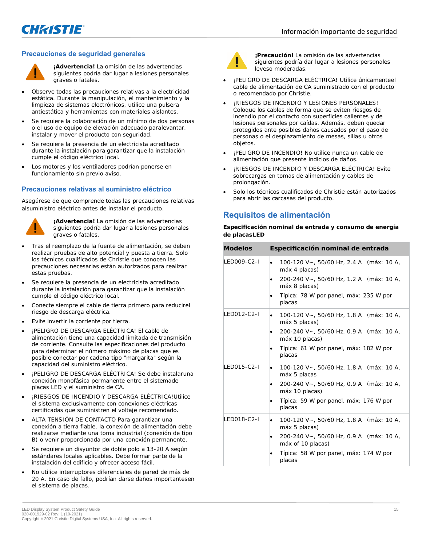

#### **Precauciones de seguridad generales**



**¡Advertencia!** La omisión de las advertencias siguientes podría dar lugar a lesiones personales graves o fatales.

- Observe todas las precauciones relativas a la electricidad estática. Durante la manipulación, el mantenimiento y la limpieza de sistemas electrónicos, utilice una pulsera antiestática y herramientas con materiales aislantes.
- Se requiere la colaboración de un mínimo de dos personas o el uso de equipo de elevación adecuado paralevantar, instalar y mover el producto con seguridad.
- Se requiere la presencia de un electricista acreditado durante la instalación para garantizar que la instalación cumple el código eléctrico local.
- Los motores y los ventiladores podrían ponerse en funcionamiento sin previo aviso.

#### **Precauciones relativas al suministro eléctrico**

Asegúrese de que comprende todas las precauciones relativas alsuministro eléctrico antes de instalar el producto.



**¡Advertencia!** La omisión de las advertencias siguientes podría dar lugar a lesiones personales graves o fatales.

- Tras el reemplazo de la fuente de alimentación, se deben realizar pruebas de alto potencial y puesta a tierra. Solo los técnicos cualificados de Christie que conocen las precauciones necesarias están autorizados para realizar estas pruebas.
- Se requiere la presencia de un electricista acreditado durante la instalación para garantizar que la instalación cumple el código eléctrico local.
- Conecte siempre el cable de tierra primero para reducirel riesgo de descarga eléctrica.
- Evite invertir la corriente por tierra.
- ¡PELIGRO DE DESCARGA ELÉCTRICA! El cable de alimentación tiene una capacidad limitada de transmisión de corriente. Consulte las especificaciones del producto para determinar el número máximo de placas que es posible conectar por cadena tipo "margarita" según la capacidad del suministro eléctrico.
- ¡PELIGRO DE DESCARGA ELÉCTRICA! Se debe instalaruna conexión monofásica permanente entre el sistemade placas LED y el suministro de CA.
- ¡RIESGOS DE INCENDIO Y DESCARGA ELÉCTRICA!Utilice el sistema exclusivamente con conexiones eléctricas certificadas que suministren el voltaje recomendado.
- ALTA TENSIÓN DE CONTACTO Para garantizar una conexión a tierra fiable, la conexión de alimentación debe realizarse mediante una toma industrial (conexión de tipo B) o venir proporcionada por una conexión permanente.
- Se requiere un disyuntor de doble polo a 13-20 A según estándares locales aplicables. Debe formar parte de la instalación del edificio y ofrecer acceso fácil.
- No utilice interruptores diferenciales de pared de más de 20 A. En caso de fallo, podrían darse daños importantesen el sistema de placas.



**¡Precaución!** La omisión de las advertencias siguientes podría dar lugar a lesiones personales leveso moderadas.

- ¡PELIGRO DE DESCARGA ELÉCTRICA! Utilice únicamenteel cable de alimentación de CA suministrado con el producto o recomendado por Christie.
- ¡RIESGOS DE INCENDIO Y LESIONES PERSONALES! Coloque los cables de forma que se eviten riesgos de incendio por el contacto con superficies calientes y de lesiones personales por caídas. Además, deben quedar protegidos ante posibles daños causados por el paso de personas o el desplazamiento de mesas, sillas u otros objetos.
- ¡PELIGRO DE INCENDIO! No utilice nunca un cable de alimentación que presente indicios de daños.
- *¡RIESGOS DE INCENDIO Y DESCARGA ELÉCTRICA! Evite* sobrecargas en tomas de alimentación y cables de prolongación.
- Solo los técnicos cualificados de Christie están autorizados para abrir las carcasas del producto.

# **Requisitos de alimentación**

**Especificación nominal de entrada y consumo de energía de placasLED**

| <b>Modelos</b> | Especificación nominal de entrada                             |
|----------------|---------------------------------------------------------------|
| LED009-C2-I    | 100-120 V~, 50/60 Hz, 2.4 A (máx: 10 A,<br>٠<br>máx 4 placas) |
|                | 200-240 V~, 50/60 Hz, 1.2 A (máx: 10 A,<br>máx 8 placas)      |
|                | Típica: 78 W por panel, máx: 235 W por<br>placas              |
| LED012-C2-I    | 100-120 V~, 50/60 Hz, 1.8 A (máx: 10 A,<br>٠<br>máx 5 placas) |
|                | 200-240 V~, 50/60 Hz, 0.9 A (máx: 10 A,<br>máx 10 placas)     |
|                | Típica: 61 W por panel, máx: 182 W por<br>placas              |
| LED015-C2-I    | 100-120 V~, 50/60 Hz, 1.8 A (máx: 10 A,<br>máx 5 placas       |
|                | 200-240 V~, 50/60 Hz, 0.9 A (máx: 10 A,<br>máx 10 placas)     |
|                | Típica: 59 W por panel, máx: 176 W por<br>placas              |
| LED018-C2-I    | 100-120 V~, 50/60 Hz, 1.8 A (máx: 10 A,<br>٠<br>máx 5 placas) |
|                | 200-240 V~, 50/60 Hz, 0.9 A (máx: 10 A,<br>máx of 10 placas)  |
|                | Típica: 58 W por panel, máx: 174 W por<br>placas              |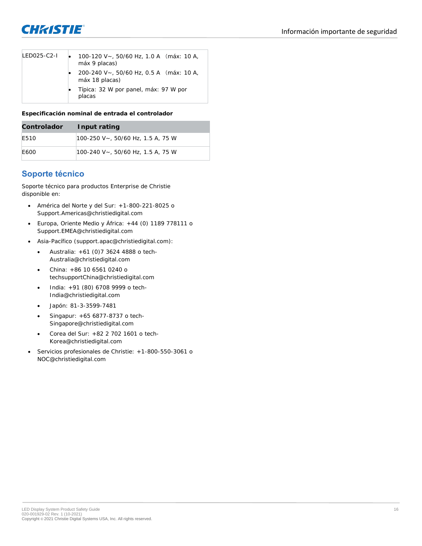

| IFD025-C2-L | 100-120 V ~, 50/60 Hz, 1.0 A (máx: 10 A,<br>máx 9 placas) |
|-------------|-----------------------------------------------------------|
|             | 200-240 V~, 50/60 Hz, 0.5 A (máx: 10 A,<br>máx 18 placas) |
|             | Típica: 32 W por panel, máx: 97 W por<br>placas           |

**Especificación nominal de entrada el controlador**

| Controlador | Input rating                      |
|-------------|-----------------------------------|
| F510        | 100-250 V~, 50/60 Hz, 1.5 A, 75 W |
| F600        | 100-240 V~, 50/60 Hz, 1.5 A, 75 W |

# **Soporte técnico**

Soporte técnico para productos Enterprise de Christie disponible en:

- América del Norte y del Sur: +1-800-221-8025 o *Support.Americas@christiedigital.com*
- Europa, Oriente Medio y África: +44 (0) 1189 778111 o *Support.EMEA@christiedigital.com*
- Asia-Pacífico (*support.apac@christiedigital.com*):
	- Australia: +61 (0)7 3624 4888 o *tech-Australia@christiedigital.com*
	- China: +86 10 6561 0240 o *techsupportChina@christiedigital.com*
	- India: +91 (80) 6708 9999 o *tech-India@christiedigital.com*
	- Japón: 81-3-3599-7481
	- Singapur: +65 6877-8737 o *tech-Singapore@christiedigital.com*
	- Corea del Sur: +82 2 702 1601 o *tech-Korea@christiedigital.com*
- Servicios profesionales de Christie: +1-800-550-3061 o *NOC@christiedigital.com*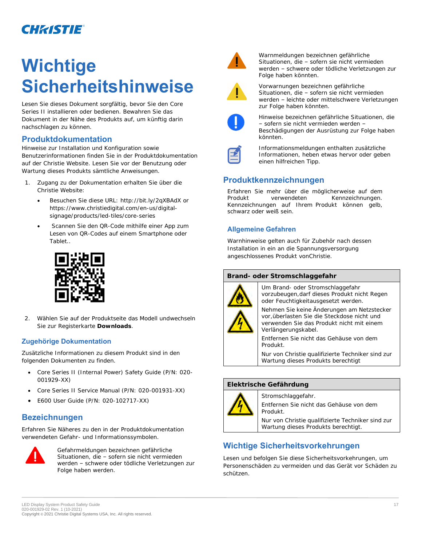# **Wichtige Sicherheitshinweise**

Lesen Sie dieses Dokument sorgfältig, bevor Sie den Core Series II installieren oder bedienen. Bewahren Sie das Dokument in der Nähe des Produkts auf, um künftig darin nachschlagen zu können.

## **Produktdokumentation**

Hinweise zur Installation und Konfiguration sowie Benutzerinformationen finden Sie in der Produktdokumentation auf der Christie Website. Lesen Sie vor der Benutzung oder Wartung dieses Produkts sämtliche Anweisungen.

- 1. Zugang zu der Dokumentation erhalten Sie über die Christie Website:
	- *Besuchen Sie diese URL*: *<http://bit.ly/2qXBAdX>* or *[https://www.christiedigital.com/en-us/digital](https://www.christiedigital.com/en-us/digital-signage/)[signage/](https://www.christiedigital.com/en-us/digital-signage/)[products/led-tiles/core-series](https://www.christiedigital.com/en-us/digital-signage/products/led-tiles/core-series)*
	- Scannen Sie den QR-Code mithilfe einer App zum Lesen von QR-Codes auf einem Smartphone oder Tablet..



2. Wählen Sie auf der Produktseite das Modell undwechseln Sie zur Registerkarte **Downloads**.

#### **Zugehörige Dokumentation**

Zusätzliche Informationen zu diesem Produkt sind in den folgenden Dokumenten zu finden.

- Core Series II (Internal Power) Safety Guide (P/N: 020- 001929-XX)
- Core Series II Service Manual (P/N: 020-001931-XX)
- E600 User Guide (P/N: 020-102717-XX)

# **Bezeichnungen**

Erfahren Sie Näheres zu den in der Produktdokumentation verwendeten Gefahr- und Informationssymbolen.



Gefahrmeldungen bezeichnen gefährliche Situationen, die – sofern sie nicht vermieden werden – schwere oder tödliche Verletzungen zur Folge haben werden.



Warnmeldungen bezeichnen gefährliche Situationen, die – sofern sie nicht vermieden werden – schwere oder tödliche Verletzungen zur Folge haben könnten.



Vorwarnungen bezeichnen gefährliche Situationen, die – sofern sie nicht vermieden werden – leichte oder mittelschwere Verletzungen zur Folge haben könnten.



Hinweise bezeichnen gefährliche Situationen, die – sofern sie nicht vermieden werden – Beschädigungen der Ausrüstung zur Folge haben könnten.



Informationsmeldungen enthalten zusätzliche Informationen, heben etwas hervor oder geben einen hilfreichen Tipp.

# **Produktkennzeichnungen**

Erfahren Sie mehr über die möglicherweise auf dem Produkt verwendeten Kennzeichnungen. Kennzeichnungen auf Ihrem Produkt können gelb, schwarz oder weiß sein.

### **Allgemeine Gefahren**

Warnhinweise gelten auch für Zubehör nach dessen Installation in ein an die Spannungsversorgung angeschlossenes Produkt vonChristie.

#### **Brand- oder Stromschlaggefahr**



Um Brand- oder Stromschlaggefahr vorzubeugen,darf dieses Produkt nicht Regen oder Feuchtigkeitausgesetzt werden.

Nehmen Sie keine Änderungen am Netzstecker vor,überlasten Sie die Steckdose nicht und verwenden Sie das Produkt nicht mit einem Verlängerungskabel.

Entfernen Sie nicht das Gehäuse von dem Produkt.

Nur von Christie qualifizierte Techniker sind zur Wartung dieses Produkts berechtigt

#### **Elektrische Gefährdung**



Stromschlaggefahr.

Entfernen Sie nicht das Gehäuse von dem Produkt.

Nur von Christie qualifizierte Techniker sind zur Wartung dieses Produkts berechtigt.

# **Wichtige Sicherheitsvorkehrungen**

Lesen und befolgen Sie diese Sicherheitsvorkehrungen, um Personenschäden zu vermeiden und das Gerät vor Schäden zu schützen.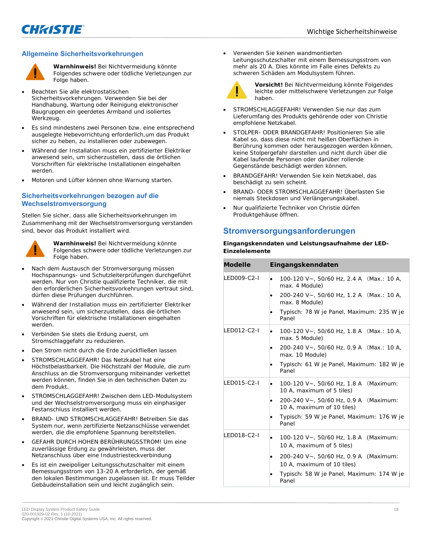

#### **Allgemeine Sicherheitsvorkehrungen**



**Warnhinweis!** Bei Nichtvermeidung könnte Folgendes schwere oder tödliche Verletzungen zur Folge haben.

- Beachten Sie alle elektrostatischen Sicherheitsvorkehrungen. Verwenden Sie bei der Handhabung, Wartung oder Reinigung elektronischer Baugruppen ein geerdetes Armband und isoliertes Werkzeug.
- Es sind mindestens zwei Personen bzw. eine entsprechend ausgelegte Hebevorrichtung erforderlich,um das Produkt sicher zu heben, zu installieren oder zubewegen.
- Während der Installation muss ein zertifizierter Elektriker anwesend sein, um sicherzustellen, dass die örtlichen Vorschriften für elektrische Installationen eingehalten werden.
- Motoren und Lüfter können ohne Warnung starten.

#### **Sicherheitsvorkehrungen bezogen auf die Wechselstromversorgung**

Stellen Sie sicher, dass alle Sicherheitsvorkehrungen im Zusammenhang mit der Wechselstromversorgung verstanden sind, bevor das Produkt installiert wird.



**Warnhinweis!** Bei Nichtvermeidung könnte Folgendes schwere oder tödliche Verletzungen zur Folge haben.

- Nach dem Austausch der Stromversorgung müssen Hochspannungs- und Schutzleiterprüfungen durchgeführt werden. Nur von Christie qualifizierte Techniker, die mit den erforderlichen Sicherheitsvorkehrungen vertraut sind, dürfen diese Prüfungen durchführen.
- Während der Installation muss ein zertifizierter Elektriker anwesend sein, um sicherzustellen, dass die örtlichen Vorschriften für elektrische Installationen eingehalten werden.
- Verbinden Sie stets die Erdung zuerst, um Stromschlaggefahr zu reduzieren.
- Den Strom nicht durch die Erde zurückfließen lassen
- STROMSCHLAGGEFAHR! Das Netzkabel hat eine Höchstbelastbarkeit. Die Höchstzahl der Module, die zum Anschluss an die Stromversorgung miteinander verkettet werden können, finden Sie in den technischen Daten zu dem Produkt.
- STROMSCHLAGGEFAHR! Zwischen dem LED-Modulsystem und der Wechselstromversorgung muss ein einphasiger Festanschluss installiert werden.
- BRAND- UND STROMSCHLAGGEFAHR! Betreiben Sie das System nur, wenn zertifizierte Netzanschlüsse verwendet werden, die die empfohlene Spannung bereitstellen.
- GEFAHR DURCH HOHEN BERÜHRUNGSSTROM! Um eine zuverlässige Erdung zu gewährleisten, muss der Netzanschluss über eine Industriesteckverbindung
- Es ist ein zweipoliger Leitungsschutzschalter mit einem Bemessungsstrom von 13-20 A erforderlich, der gemäß den lokalen Bestimmungen zugelassen ist. Er muss Teilder Gebäudeinstallation sein und leicht zugänglich sein.

• Verwenden Sie keinen wandmontierten Leitungsschutzschalter mit einem Bemessungsstrom von mehr als 20 A. Dies könnte im Falle eines Defekts zu schweren Schäden am Modulsystem führen.



**Vorsicht!** Bei Nichtvermeidung könnte Folgendes leichte oder mittelschwere Verletzungen zur Folge haben.

- STROMSCHLAGGEFAHR! Verwenden Sie nur das zum Lieferumfang des Produkts gehörende oder von Christie empfohlene Netzkabel.
- STOLPER- ODER BRANDGEFAHR! Positionieren Sie alle Kabel so, dass diese nicht mit heißen Oberflächen in Berührung kommen oder herausgezogen werden können, keine Stolpergefahr darstellen und nicht durch über die Kabel laufende Personen oder darüber rollende Gegenstände beschädigt werden können.
- BRANDGEFAHR! Verwenden Sie kein Netzkabel, das beschädigt zu sein scheint.
- BRAND- ODER STROMSCHLAGGEFAHR! Überlasten Sie niemals Steckdosen und Verlängerungskabel.
- Nur qualifizierte Techniker von Christie dürfen Produktgehäuse öffnen.

## **Stromversorgungsanforderungen**

**Eingangskenndaten und Leistungsaufnahme der LED-Einzelelemente**

| Modelle      | Eingangskenndaten                                                                                                                                                                                                 |
|--------------|-------------------------------------------------------------------------------------------------------------------------------------------------------------------------------------------------------------------|
| LED009-C2-I  | 100-120 V ~, 50/60 Hz, 2.4 A (Max.: 10 A,<br>٠<br>max. 4 Module)<br>200-240 V~, 50/60 Hz, 1.2 A (Max.: 10 A,<br>max. 8 Module)<br>Typisch: 78 W je Panel, Maximum: 235 W je<br>Panel                              |
| LED012-C2-I  | 100-120 V $\sim$ , 50/60 Hz, 1.8 A (Max.: 10 A,<br>٠<br>max. 5 Module)<br>200-240 V~, 50/60 Hz, 0.9 A (Max.: 10 A,<br>max. 10 Module)<br>Typisch: 61 W je Panel, Maximum: 182 W je<br>Panel                       |
| LED015-C2-I  | 100-120 V~, 50/60 Hz, 1.8 A (Maximum:<br>٠<br>10 A, maximum of 5 tiles)<br>200-240 V~, 50/60 Hz, 0.9 A (Maximum:<br>10 A, maximum of 10 tiles)<br>Typisch: 59 W je Panel, Maximum: 176 W je<br>Panel              |
| I FD018-C2-I | 100-120 V~, 50/60 Hz, 1.8 A (Maximum:<br>$\bullet$<br>10 A, maximum of 5 tiles)<br>200-240 V~, 50/60 Hz, 0.9 A (Maximum:<br>٠<br>10 A, maximum of 10 tiles)<br>Typisch: 58 W je Panel, Maximum: 174 W je<br>Panel |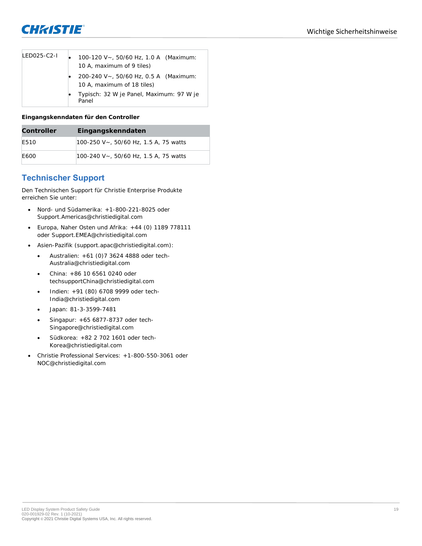

| $LEDO25-C2-I$ | 100-120 V ~, 50/60 Hz, 1.0 A (Maximum:<br>10 A, maximum of 9 tiles) |
|---------------|---------------------------------------------------------------------|
|               | 200-240 V~, 50/60 Hz, 0.5 A (Maximum:<br>10 A, maximum of 18 tiles) |
|               | Typisch: 32 W je Panel, Maximum: 97 W je<br>Panel                   |

**Eingangskenndaten für den Controller**

| Controller | Eingangskenndaten                     |
|------------|---------------------------------------|
| F510       | 100-250 V~, 50/60 Hz, 1.5 A, 75 watts |
| E600       | 100-240 V~, 50/60 Hz, 1.5 A, 75 watts |

# **Technischer Support**

Den Technischen Support für Christie Enterprise Produkte erreichen Sie unter:

- Nord- und Südamerika: +1-800-221-8025 oder *Support.Americas@christiedigital.com*
- Europa, Naher Osten und Afrika: +44 (0) 1189 778111 oder *Support.EMEA@christiedigital.com*
- Asien-Pazifik (*support.apac@christiedigital.com*):
	- Australien: +61 (0)7 3624 4888 oder *tech-Australia@christiedigital.com*
	- China: +86 10 6561 0240 oder *techsupportChina@christiedigital.com*
	- Indien: +91 (80) 6708 9999 oder *tech-India@christiedigital.com*
	- Japan: 81-3-3599-7481
	- Singapur: +65 6877-8737 oder *tech-Singapore@christiedigital.com*
	- Südkorea: +82 2 702 1601 oder *tech-Korea@christiedigital.com*
- Christie Professional Services: +1-800-550-3061 oder *NOC@christiedigital.com*